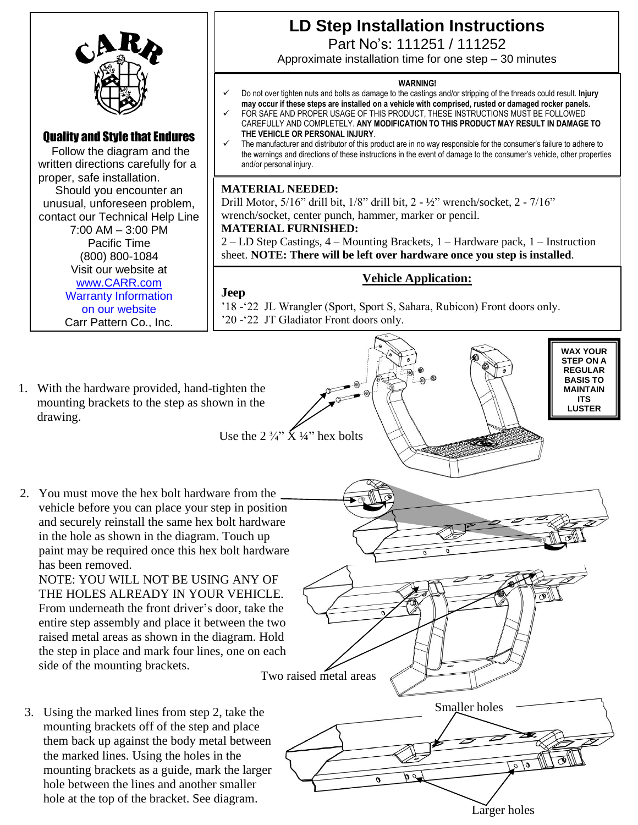

# **LD Step Installation Instructions**

Part No's: 111251 / 111252

Approximate installation time for one step – 30 minutes

#### **WARNING!**

- ✓ Do not over tighten nuts and bolts as damage to the castings and/or stripping of the threads could result. **Injury may occur if these steps are installed on a vehicle with comprised, rusted or damaged rocker panels.**
	- FOR SAFE AND PROPER USAGE OF THIS PRODUCT, THESE INSTRUCTIONS MUST BE FOLLOWED CAREFULLY AND COMPLETELY. **ANY MODIFICATION TO THIS PRODUCT MAY RESULT IN DAMAGE TO THE VEHICLE OR PERSONAL INJURY**.
- The manufacturer and distributor of this product are in no way responsible for the consumer's failure to adhere to the warnings and directions of these instructions in the event of damage to the consumer's vehicle, other properties and/or personal injury.

### **MATERIAL NEEDED:**

Drill Motor, 5/16" drill bit, 1/8" drill bit, 2 - ½" wrench/socket, 2 - 7/16" wrench/socket, center punch, hammer, marker or pencil.

#### **MATERIAL FURNISHED:**

2 – LD Step Castings, 4 – Mounting Brackets, 1 – Hardware pack, 1 – Instruction sheet. **NOTE: There will be left over hardware once you step is installed**.

## **Vehicle Application:**

**Jeep**

- '18 -'22 JL Wrangler (Sport, Sport S, Sahara, Rubicon) Front doors only. '20 -'22 JT Gladiator Front doors only.
- 1. With the hardware provided, hand-tighten the mounting brackets to the step as shown in the drawing.
- 2. You must move the hex bolt hardware from the vehicle before you can place your step in position and securely reinstall the same hex bolt hardware in the hole as shown in the diagram. Touch up paint may be required once this hex bolt hardware has been removed.

NOTE: YOU WILL NOT BE USING ANY OF THE HOLES ALREADY IN YOUR VEHICLE. From underneath the front driver's door, take the entire step assembly and place it between the two raised metal areas as shown in the diagram. Hold the step in place and mark four lines, one on each side of the mounting brackets.

3. Using the marked lines from step 2, take the mounting brackets off of the step and place them back up against the body metal between the marked lines. Using the holes in the mounting brackets as a guide, mark the larger hole between the lines and another smaller hole at the top of the bracket. See diagram.



Larger holes